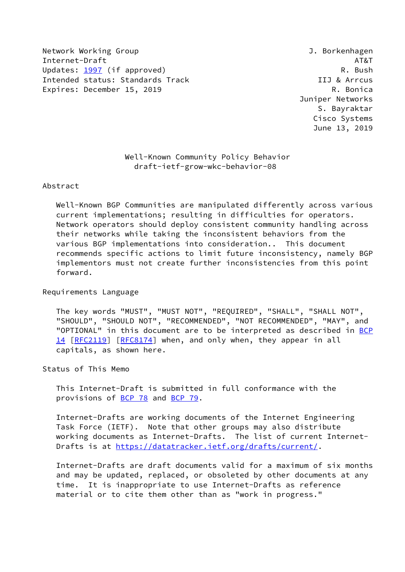Network Working Group **J. Borkenhagen** Internet-Draft AT&T Updates: [1997](https://datatracker.ietf.org/doc/pdf/rfc1997) (if approved) and the control of the control of the control of the control of the control of the control of the control of the control of the control of the control of the control of the control of the contro Intended status: Standards Track IIJ & Arrcus Expires: December 15, 2019 **R. Bonica** 

 Juniper Networks S. Bayraktar Cisco Systems June 13, 2019

 Well-Known Community Policy Behavior draft-ietf-grow-wkc-behavior-08

## Abstract

 Well-Known BGP Communities are manipulated differently across various current implementations; resulting in difficulties for operators. Network operators should deploy consistent community handling across their networks while taking the inconsistent behaviors from the various BGP implementations into consideration.. This document recommends specific actions to limit future inconsistency, namely BGP implementors must not create further inconsistencies from this point forward.

Requirements Language

 The key words "MUST", "MUST NOT", "REQUIRED", "SHALL", "SHALL NOT", "SHOULD", "SHOULD NOT", "RECOMMENDED", "NOT RECOMMENDED", "MAY", and "OPTIONAL" in this document are to be interpreted as described in [BCP](https://datatracker.ietf.org/doc/pdf/bcp14) [14](https://datatracker.ietf.org/doc/pdf/bcp14) [[RFC2119\]](https://datatracker.ietf.org/doc/pdf/rfc2119) [\[RFC8174](https://datatracker.ietf.org/doc/pdf/rfc8174)] when, and only when, they appear in all capitals, as shown here.

Status of This Memo

 This Internet-Draft is submitted in full conformance with the provisions of <u>BCP 78</u> and **BCP 79.** 

 Internet-Drafts are working documents of the Internet Engineering Task Force (IETF). Note that other groups may also distribute working documents as Internet-Drafts. The list of current Internet- Drafts is at<https://datatracker.ietf.org/drafts/current/>.

 Internet-Drafts are draft documents valid for a maximum of six months and may be updated, replaced, or obsoleted by other documents at any time. It is inappropriate to use Internet-Drafts as reference material or to cite them other than as "work in progress."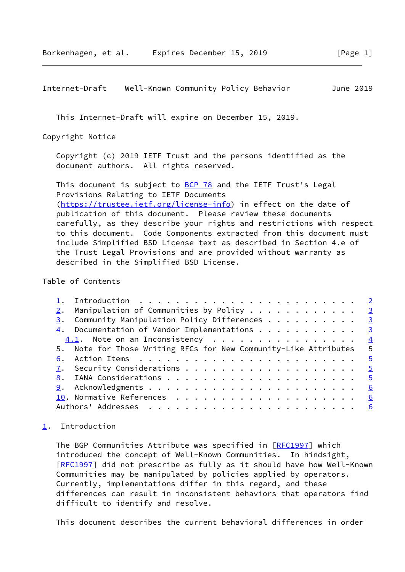<span id="page-1-1"></span>Internet-Draft Well-Known Community Policy Behavior June 2019

This Internet-Draft will expire on December 15, 2019.

Copyright Notice

 Copyright (c) 2019 IETF Trust and the persons identified as the document authors. All rights reserved.

This document is subject to **[BCP 78](https://datatracker.ietf.org/doc/pdf/bcp78)** and the IETF Trust's Legal Provisions Relating to IETF Documents [\(https://trustee.ietf.org/license-info](https://trustee.ietf.org/license-info)) in effect on the date of publication of this document. Please review these documents carefully, as they describe your rights and restrictions with respect to this document. Code Components extracted from this document must include Simplified BSD License text as described in Section 4.e of the Trust Legal Provisions and are provided without warranty as described in the Simplified BSD License.

Table of Contents

| $\frac{2}{2}$ . Manipulation of Communities by Policy 3          |      |
|------------------------------------------------------------------|------|
| $\frac{3}{2}$ . Community Manipulation Policy Differences 3      |      |
| $\frac{4}{1}$ . Documentation of Vendor Implementations 3        |      |
|                                                                  |      |
| 5. Note for Those Writing RFCs for New Community-Like Attributes | $-5$ |
|                                                                  |      |
|                                                                  |      |
|                                                                  |      |
|                                                                  |      |
|                                                                  | 6    |
|                                                                  |      |
|                                                                  |      |

## <span id="page-1-0"></span>[1](#page-1-0). Introduction

 The BGP Communities Attribute was specified in [\[RFC1997](https://datatracker.ietf.org/doc/pdf/rfc1997)] which introduced the concept of Well-Known Communities. In hindsight, [\[RFC1997](https://datatracker.ietf.org/doc/pdf/rfc1997)] did not prescribe as fully as it should have how Well-Known Communities may be manipulated by policies applied by operators. Currently, implementations differ in this regard, and these differences can result in inconsistent behaviors that operators find difficult to identify and resolve.

This document describes the current behavioral differences in order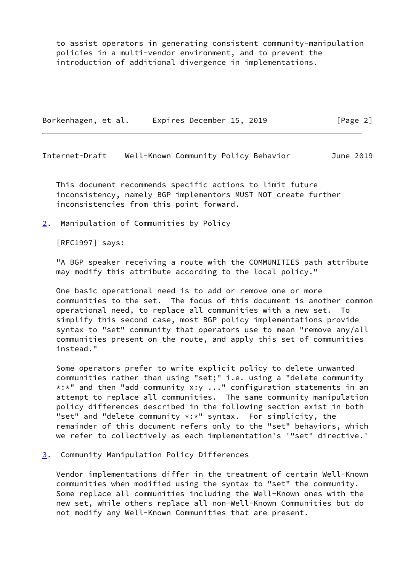to assist operators in generating consistent community-manipulation policies in a multi-vendor environment, and to prevent the introduction of additional divergence in implementations.

Borkenhagen, et al. Expires December 15, 2019 [Page 2]

<span id="page-2-1"></span>Internet-Draft Well-Known Community Policy Behavior June 2019

 This document recommends specific actions to limit future inconsistency, namely BGP implementors MUST NOT create further inconsistencies from this point forward.

<span id="page-2-0"></span>[2](#page-2-0). Manipulation of Communities by Policy

[RFC1997] says:

 "A BGP speaker receiving a route with the COMMUNITIES path attribute may modify this attribute according to the local policy."

 One basic operational need is to add or remove one or more communities to the set. The focus of this document is another common operational need, to replace all communities with a new set. To simplify this second case, most BGP policy implementations provide syntax to "set" community that operators use to mean "remove any/all communities present on the route, and apply this set of communities instead."

 Some operators prefer to write explicit policy to delete unwanted communities rather than using "set;" i.e. using a "delete community \*:\*" and then "add community x:y ..." configuration statements in an attempt to replace all communities. The same community manipulation policy differences described in the following section exist in both "set" and "delete community \*:\*" syntax. For simplicity, the remainder of this document refers only to the "set" behaviors, which we refer to collectively as each implementation's '"set" directive.'

<span id="page-2-2"></span>[3](#page-2-2). Community Manipulation Policy Differences

 Vendor implementations differ in the treatment of certain Well-Known communities when modified using the syntax to "set" the community. Some replace all communities including the Well-Known ones with the new set, while others replace all non-Well-Known Communities but do not modify any Well-Known Communities that are present.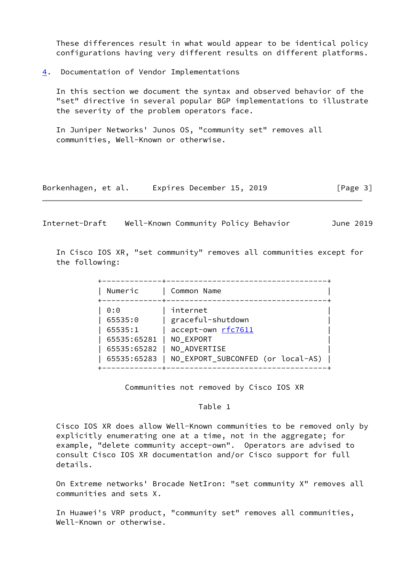These differences result in what would appear to be identical policy configurations having very different results on different platforms.

<span id="page-3-0"></span>[4](#page-3-0). Documentation of Vendor Implementations

 In this section we document the syntax and observed behavior of the "set" directive in several popular BGP implementations to illustrate the severity of the problem operators face.

 In Juniper Networks' Junos OS, "community set" removes all communities, Well-Known or otherwise.

| Borkenhagen, et al. | Expires December 15, 2019 | [Page 3] |
|---------------------|---------------------------|----------|
|---------------------|---------------------------|----------|

<span id="page-3-1"></span>Internet-Draft Well-Known Community Policy Behavior June 2019

 In Cisco IOS XR, "set community" removes all communities except for the following:

| Numeric                                                                | Common Name                                                                                                           |
|------------------------------------------------------------------------|-----------------------------------------------------------------------------------------------------------------------|
| 0:0<br>65535:0<br>65535:1<br>65535:65281<br>65535:65282<br>65535:65283 | internet<br>graceful-shutdown<br>accept-own rfc7611<br>NO EXPORT<br>NO ADVERTISE<br>NO_EXPORT_SUBCONFED (or local-AS) |

Communities not removed by Cisco IOS XR

## Table 1

 Cisco IOS XR does allow Well-Known communities to be removed only by explicitly enumerating one at a time, not in the aggregate; for example, "delete community accept-own". Operators are advised to consult Cisco IOS XR documentation and/or Cisco support for full details.

 On Extreme networks' Brocade NetIron: "set community X" removes all communities and sets X.

 In Huawei's VRP product, "community set" removes all communities, Well-Known or otherwise.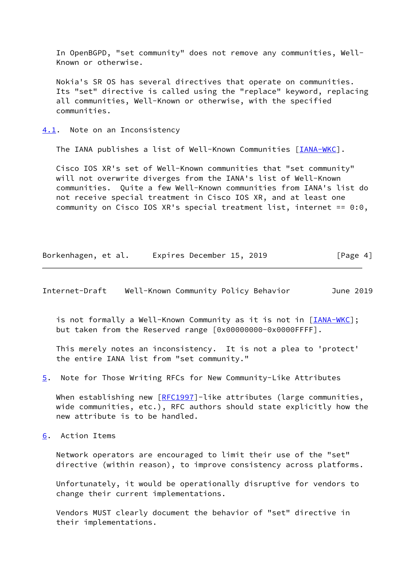In OpenBGPD, "set community" does not remove any communities, Well- Known or otherwise.

 Nokia's SR OS has several directives that operate on communities. Its "set" directive is called using the "replace" keyword, replacing all communities, Well-Known or otherwise, with the specified communities.

<span id="page-4-0"></span>[4.1](#page-4-0). Note on an Inconsistency

The IANA publishes a list of Well-Known Communities [\[IANA-WKC](#page-5-5)].

 Cisco IOS XR's set of Well-Known communities that "set community" will not overwrite diverges from the IANA's list of Well-Known communities. Quite a few Well-Known communities from IANA's list do not receive special treatment in Cisco IOS XR, and at least one community on Cisco IOS XR's special treatment list, internet == 0:0,

Borkenhagen, et al. Expires December 15, 2019 [Page 4]

<span id="page-4-2"></span>Internet-Draft Well-Known Community Policy Behavior June 2019

is not formally a Well-Known Community as it is not in [\[IANA-WKC](#page-5-5)]; but taken from the Reserved range [0x00000000-0x0000FFFF].

 This merely notes an inconsistency. It is not a plea to 'protect' the entire IANA list from "set community."

<span id="page-4-3"></span>[5](#page-4-3). Note for Those Writing RFCs for New Community-Like Attributes

When establishing new [[RFC1997](https://datatracker.ietf.org/doc/pdf/rfc1997)]-like attributes (large communities, wide communities, etc.), RFC authors should state explicitly how the new attribute is to be handled.

<span id="page-4-1"></span>[6](#page-4-1). Action Items

 Network operators are encouraged to limit their use of the "set" directive (within reason), to improve consistency across platforms.

 Unfortunately, it would be operationally disruptive for vendors to change their current implementations.

 Vendors MUST clearly document the behavior of "set" directive in their implementations.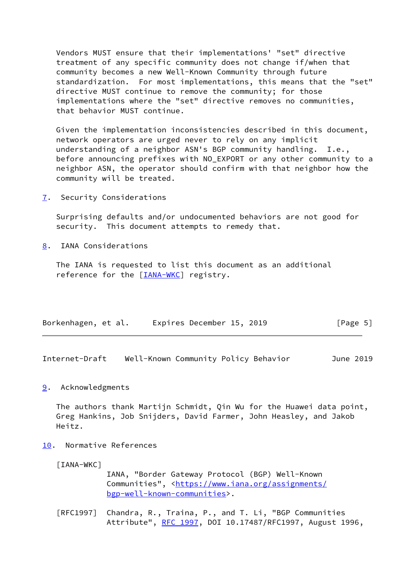Vendors MUST ensure that their implementations' "set" directive treatment of any specific community does not change if/when that community becomes a new Well-Known Community through future standardization. For most implementations, this means that the "set" directive MUST continue to remove the community; for those implementations where the "set" directive removes no communities, that behavior MUST continue.

 Given the implementation inconsistencies described in this document, network operators are urged never to rely on any implicit understanding of a neighbor ASN's BGP community handling. I.e., before announcing prefixes with NO\_EXPORT or any other community to a neighbor ASN, the operator should confirm with that neighbor how the community will be treated.

<span id="page-5-0"></span>[7](#page-5-0). Security Considerations

 Surprising defaults and/or undocumented behaviors are not good for security. This document attempts to remedy that.

<span id="page-5-1"></span>[8](#page-5-1). IANA Considerations

 The IANA is requested to list this document as an additional reference for the [[IANA-WKC\]](#page-5-5) registry.

| Borkenhagen, et al. | Expires December 15, 2019 | [Page 5] |
|---------------------|---------------------------|----------|
|                     |                           |          |

<span id="page-5-3"></span>Internet-Draft Well-Known Community Policy Behavior June 2019

## <span id="page-5-2"></span>[9](#page-5-2). Acknowledgments

 The authors thank Martijn Schmidt, Qin Wu for the Huawei data point, Greg Hankins, Job Snijders, David Farmer, John Heasley, and Jakob Heitz.

<span id="page-5-4"></span>[10.](#page-5-4) Normative References

<span id="page-5-5"></span>[IANA-WKC]

 IANA, "Border Gateway Protocol (BGP) Well-Known Communities", [<https://www.iana.org/assignments/](https://www.iana.org/assignments/bgp-well-known-communities) [bgp-well-known-communities>](https://www.iana.org/assignments/bgp-well-known-communities).

 [RFC1997] Chandra, R., Traina, P., and T. Li, "BGP Communities Attribute", [RFC 1997,](https://datatracker.ietf.org/doc/pdf/rfc1997) DOI 10.17487/RFC1997, August 1996,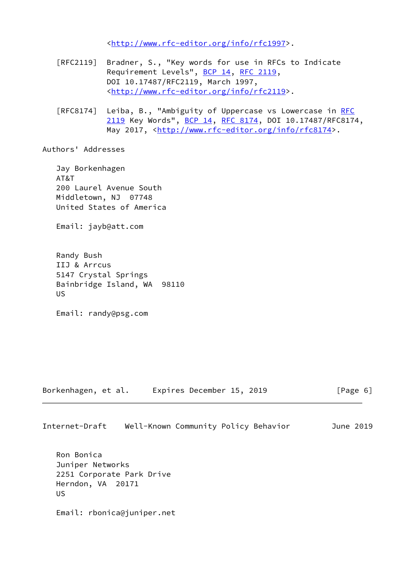<<http://www.rfc-editor.org/info/rfc1997>>.

- [RFC2119] Bradner, S., "Key words for use in RFCs to Indicate Requirement Levels", [BCP 14](https://datatracker.ietf.org/doc/pdf/bcp14), [RFC 2119](https://datatracker.ietf.org/doc/pdf/rfc2119), DOI 10.17487/RFC2119, March 1997, <<http://www.rfc-editor.org/info/rfc2119>>.
- [RFC8174] Leiba, B., "Ambiguity of Uppercase vs Lowercase in [RFC](https://datatracker.ietf.org/doc/pdf/rfc2119) [2119](https://datatracker.ietf.org/doc/pdf/rfc2119) Key Words", [BCP 14](https://datatracker.ietf.org/doc/pdf/bcp14), [RFC 8174,](https://datatracker.ietf.org/doc/pdf/rfc8174) DOI 10.17487/RFC8174, May 2017, [<http://www.rfc-editor.org/info/rfc8174](http://www.rfc-editor.org/info/rfc8174)>.

Authors' Addresses

 Jay Borkenhagen AT&T 200 Laurel Avenue South Middletown, NJ 07748 United States of America

Email: jayb@att.com

 Randy Bush IIJ & Arrcus 5147 Crystal Springs Bainbridge Island, WA 98110 US

Email: randy@psg.com

Borkenhagen, et al. Expires December 15, 2019 [Page 6]

Internet-Draft Well-Known Community Policy Behavior June 2019

 Ron Bonica Juniper Networks 2251 Corporate Park Drive Herndon, VA 20171 US

Email: rbonica@juniper.net